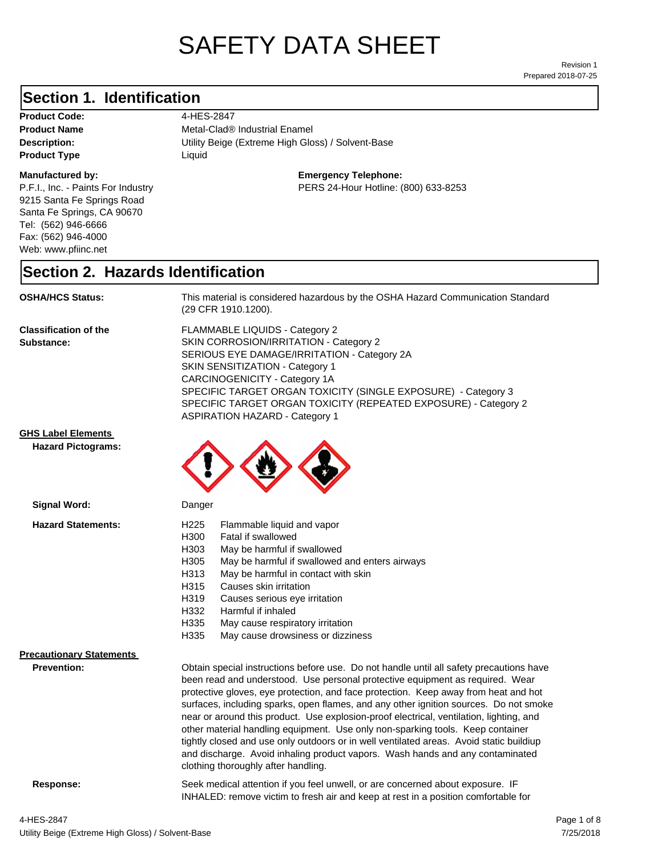# SAFETY DATA SHEET

Prepared 2018-07-25 Revision 1

#### **Section 1. Identification**

Product Code: 4-HES-2847 **Product Type Liquid Liquid** 

#### **Manufactured by:**

P.F.I., Inc. - Paints For Industry 9215 Santa Fe Springs Road Santa Fe Springs, CA 90670 Tel: (562) 946-6666 Fax: (562) 946-4000 Web: www.pfiinc.net

**Product Name** Metal-Clad<sup>®</sup> Industrial Enamel

**Description:** Utility Beige (Extreme High Gloss) / Solvent-Base

**Emergency Telephone:**

PERS 24-Hour Hotline: (800) 633-8253

#### **Section 2. Hazards Identification**

**OSHA/HCS Status:** This material is considered hazardous by the OSHA Hazard Communication Standard (29 CFR 1910.1200).

**Classification of the Substance:**

FLAMMABLE LIQUIDS - Category 2 SKIN CORROSION/IRRITATION - Category 2 SERIOUS EYE DAMAGE/IRRITATION - Category 2A SKIN SENSITIZATION - Category 1 CARCINOGENICITY - Category 1A SPECIFIC TARGET ORGAN TOXICITY (SINGLE EXPOSURE) - Category 3 SPECIFIC TARGET ORGAN TOXICITY (REPEATED EXPOSURE) - Category 2 ASPIRATION HAZARD - Category 1

#### **GHS Label Elements**

**Signal Word:**

**Hazard Pictograms:**



| H <sub>225</sub><br>Flammable liquid and vapor                                          |                                                                                                                                                                                                                                                                                                                                                                                                                                                                                   |
|-----------------------------------------------------------------------------------------|-----------------------------------------------------------------------------------------------------------------------------------------------------------------------------------------------------------------------------------------------------------------------------------------------------------------------------------------------------------------------------------------------------------------------------------------------------------------------------------|
|                                                                                         |                                                                                                                                                                                                                                                                                                                                                                                                                                                                                   |
| H303<br>May be harmful if swallowed                                                     |                                                                                                                                                                                                                                                                                                                                                                                                                                                                                   |
| H305<br>May be harmful if swallowed and enters airways                                  |                                                                                                                                                                                                                                                                                                                                                                                                                                                                                   |
| May be harmful in contact with skin<br>H313                                             |                                                                                                                                                                                                                                                                                                                                                                                                                                                                                   |
| H315<br>Causes skin irritation                                                          |                                                                                                                                                                                                                                                                                                                                                                                                                                                                                   |
| H319<br>Causes serious eye irritation                                                   |                                                                                                                                                                                                                                                                                                                                                                                                                                                                                   |
| H332<br>Harmful if inhaled                                                              |                                                                                                                                                                                                                                                                                                                                                                                                                                                                                   |
| H335<br>May cause respiratory irritation                                                |                                                                                                                                                                                                                                                                                                                                                                                                                                                                                   |
| H335<br>May cause drowsiness or dizziness                                               |                                                                                                                                                                                                                                                                                                                                                                                                                                                                                   |
|                                                                                         |                                                                                                                                                                                                                                                                                                                                                                                                                                                                                   |
|                                                                                         |                                                                                                                                                                                                                                                                                                                                                                                                                                                                                   |
| been read and understood. Use personal protective equipment as required. Wear           |                                                                                                                                                                                                                                                                                                                                                                                                                                                                                   |
|                                                                                         |                                                                                                                                                                                                                                                                                                                                                                                                                                                                                   |
|                                                                                         |                                                                                                                                                                                                                                                                                                                                                                                                                                                                                   |
|                                                                                         |                                                                                                                                                                                                                                                                                                                                                                                                                                                                                   |
| other material handling equipment. Use only non-sparking tools. Keep container          |                                                                                                                                                                                                                                                                                                                                                                                                                                                                                   |
| tightly closed and use only outdoors or in well ventilated areas. Avoid static buildiup |                                                                                                                                                                                                                                                                                                                                                                                                                                                                                   |
|                                                                                         |                                                                                                                                                                                                                                                                                                                                                                                                                                                                                   |
| clothing thoroughly after handling.                                                     |                                                                                                                                                                                                                                                                                                                                                                                                                                                                                   |
|                                                                                         | H300<br>Fatal if swallowed<br>Obtain special instructions before use. Do not handle until all safety precautions have<br>protective gloves, eye protection, and face protection. Keep away from heat and hot<br>surfaces, including sparks, open flames, and any other ignition sources. Do not smoke<br>near or around this product. Use explosion-proof electrical, ventilation, lighting, and<br>and discharge. Avoid inhaling product vapors. Wash hands and any contaminated |

**Response:** Seek medical attention if you feel unwell, or are concerned about exposure. IF INHALED: remove victim to fresh air and keep at rest in a position comfortable for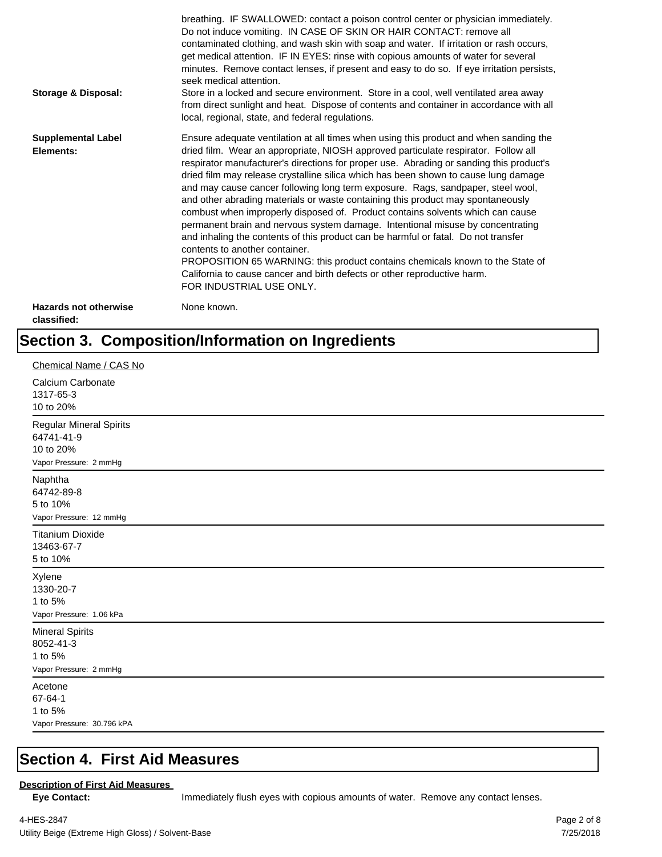| <b>Storage &amp; Disposal:</b>              | breathing. IF SWALLOWED: contact a poison control center or physician immediately.<br>Do not induce vomiting. IN CASE OF SKIN OR HAIR CONTACT: remove all<br>contaminated clothing, and wash skin with soap and water. If irritation or rash occurs,<br>get medical attention. IF IN EYES: rinse with copious amounts of water for several<br>minutes. Remove contact lenses, if present and easy to do so. If eye irritation persists,<br>seek medical attention.<br>Store in a locked and secure environment. Store in a cool, well ventilated area away<br>from direct sunlight and heat. Dispose of contents and container in accordance with all<br>local, regional, state, and federal regulations.                                                                                                                                                                                                                                                                                                                |
|---------------------------------------------|--------------------------------------------------------------------------------------------------------------------------------------------------------------------------------------------------------------------------------------------------------------------------------------------------------------------------------------------------------------------------------------------------------------------------------------------------------------------------------------------------------------------------------------------------------------------------------------------------------------------------------------------------------------------------------------------------------------------------------------------------------------------------------------------------------------------------------------------------------------------------------------------------------------------------------------------------------------------------------------------------------------------------|
| <b>Supplemental Label</b><br>Elements:      | Ensure adequate ventilation at all times when using this product and when sanding the<br>dried film. Wear an appropriate, NIOSH approved particulate respirator. Follow all<br>respirator manufacturer's directions for proper use. Abrading or sanding this product's<br>dried film may release crystalline silica which has been shown to cause lung damage<br>and may cause cancer following long term exposure. Rags, sandpaper, steel wool,<br>and other abrading materials or waste containing this product may spontaneously<br>combust when improperly disposed of. Product contains solvents which can cause<br>permanent brain and nervous system damage. Intentional misuse by concentrating<br>and inhaling the contents of this product can be harmful or fatal. Do not transfer<br>contents to another container.<br>PROPOSITION 65 WARNING: this product contains chemicals known to the State of<br>California to cause cancer and birth defects or other reproductive harm.<br>FOR INDUSTRIAL USE ONLY. |
| <b>Hazards not otherwise</b><br>classified: | None known.                                                                                                                                                                                                                                                                                                                                                                                                                                                                                                                                                                                                                                                                                                                                                                                                                                                                                                                                                                                                              |

## **Section 3. Composition/Information on Ingredients**

| Chemical Name / CAS No                                                              |
|-------------------------------------------------------------------------------------|
| Calcium Carbonate<br>1317-65-3<br>10 to 20%                                         |
| <b>Regular Mineral Spirits</b><br>64741-41-9<br>10 to 20%<br>Vapor Pressure: 2 mmHg |
| Naphtha<br>64742-89-8<br>5 to 10%<br>Vapor Pressure: 12 mmHg                        |
| <b>Titanium Dioxide</b><br>13463-67-7<br>5 to 10%                                   |
| Xylene<br>1330-20-7<br>1 to 5%<br>Vapor Pressure: 1.06 kPa                          |
| <b>Mineral Spirits</b><br>8052-41-3<br>1 to 5%<br>Vapor Pressure: 2 mmHg            |
| Acetone<br>67-64-1<br>1 to 5%<br>Vapor Pressure: 30.796 kPA                         |

#### **Section 4. First Aid Measures**

#### **Description of First Aid Measures**

Eye Contact: **IMMED** Immediately flush eyes with copious amounts of water. Remove any contact lenses.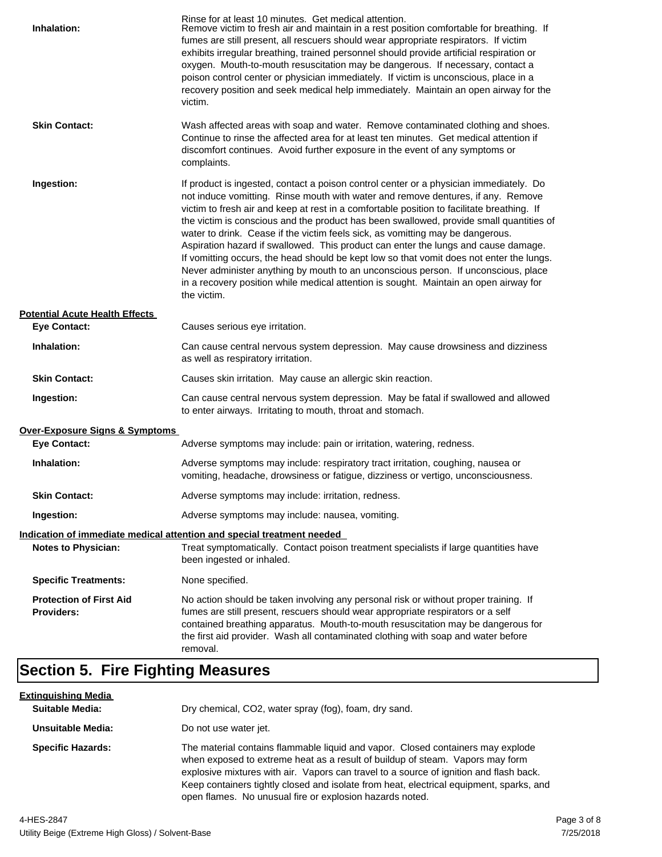| Inhalation:                                         | Rinse for at least 10 minutes. Get medical attention.<br>Remove victim to fresh air and maintain in a rest position comfortable for breathing. If<br>fumes are still present, all rescuers should wear appropriate respirators. If victim<br>exhibits irregular breathing, trained personnel should provide artificial respiration or<br>oxygen. Mouth-to-mouth resuscitation may be dangerous. If necessary, contact a<br>poison control center or physician immediately. If victim is unconscious, place in a<br>recovery position and seek medical help immediately. Maintain an open airway for the<br>victim.                                                                                                                                                                                                                    |
|-----------------------------------------------------|---------------------------------------------------------------------------------------------------------------------------------------------------------------------------------------------------------------------------------------------------------------------------------------------------------------------------------------------------------------------------------------------------------------------------------------------------------------------------------------------------------------------------------------------------------------------------------------------------------------------------------------------------------------------------------------------------------------------------------------------------------------------------------------------------------------------------------------|
| <b>Skin Contact:</b>                                | Wash affected areas with soap and water. Remove contaminated clothing and shoes.<br>Continue to rinse the affected area for at least ten minutes. Get medical attention if<br>discomfort continues. Avoid further exposure in the event of any symptoms or<br>complaints.                                                                                                                                                                                                                                                                                                                                                                                                                                                                                                                                                             |
| Ingestion:                                          | If product is ingested, contact a poison control center or a physician immediately. Do<br>not induce vomitting. Rinse mouth with water and remove dentures, if any. Remove<br>victim to fresh air and keep at rest in a comfortable position to facilitate breathing. If<br>the victim is conscious and the product has been swallowed, provide small quantities of<br>water to drink. Cease if the victim feels sick, as vomitting may be dangerous.<br>Aspiration hazard if swallowed. This product can enter the lungs and cause damage.<br>If vomitting occurs, the head should be kept low so that vomit does not enter the lungs.<br>Never administer anything by mouth to an unconscious person. If unconscious, place<br>in a recovery position while medical attention is sought. Maintain an open airway for<br>the victim. |
| <b>Potential Acute Health Effects</b>               |                                                                                                                                                                                                                                                                                                                                                                                                                                                                                                                                                                                                                                                                                                                                                                                                                                       |
| <b>Eye Contact:</b>                                 | Causes serious eye irritation.                                                                                                                                                                                                                                                                                                                                                                                                                                                                                                                                                                                                                                                                                                                                                                                                        |
| Inhalation:                                         | Can cause central nervous system depression. May cause drowsiness and dizziness<br>as well as respiratory irritation.                                                                                                                                                                                                                                                                                                                                                                                                                                                                                                                                                                                                                                                                                                                 |
| <b>Skin Contact:</b>                                | Causes skin irritation. May cause an allergic skin reaction.                                                                                                                                                                                                                                                                                                                                                                                                                                                                                                                                                                                                                                                                                                                                                                          |
| Ingestion:                                          | Can cause central nervous system depression. May be fatal if swallowed and allowed<br>to enter airways. Irritating to mouth, throat and stomach.                                                                                                                                                                                                                                                                                                                                                                                                                                                                                                                                                                                                                                                                                      |
| <b>Over-Exposure Signs &amp; Symptoms</b>           |                                                                                                                                                                                                                                                                                                                                                                                                                                                                                                                                                                                                                                                                                                                                                                                                                                       |
| <b>Eye Contact:</b>                                 | Adverse symptoms may include: pain or irritation, watering, redness.                                                                                                                                                                                                                                                                                                                                                                                                                                                                                                                                                                                                                                                                                                                                                                  |
| Inhalation:                                         | Adverse symptoms may include: respiratory tract irritation, coughing, nausea or<br>vomiting, headache, drowsiness or fatigue, dizziness or vertigo, unconsciousness.                                                                                                                                                                                                                                                                                                                                                                                                                                                                                                                                                                                                                                                                  |
| <b>Skin Contact:</b>                                | Adverse symptoms may include: irritation, redness.                                                                                                                                                                                                                                                                                                                                                                                                                                                                                                                                                                                                                                                                                                                                                                                    |
| Ingestion:                                          | Adverse symptoms may include: nausea, vomiting.                                                                                                                                                                                                                                                                                                                                                                                                                                                                                                                                                                                                                                                                                                                                                                                       |
|                                                     | Indication of immediate medical attention and special treatment needed                                                                                                                                                                                                                                                                                                                                                                                                                                                                                                                                                                                                                                                                                                                                                                |
| <b>Notes to Physician:</b>                          | Treat symptomatically. Contact poison treatment specialists if large quantities have<br>been ingested or inhaled.                                                                                                                                                                                                                                                                                                                                                                                                                                                                                                                                                                                                                                                                                                                     |
| <b>Specific Treatments:</b>                         | None specified.                                                                                                                                                                                                                                                                                                                                                                                                                                                                                                                                                                                                                                                                                                                                                                                                                       |
| <b>Protection of First Aid</b><br><b>Providers:</b> | No action should be taken involving any personal risk or without proper training. If<br>fumes are still present, rescuers should wear appropriate respirators or a self<br>contained breathing apparatus. Mouth-to-mouth resuscitation may be dangerous for<br>the first aid provider. Wash all contaminated clothing with soap and water before<br>removal.                                                                                                                                                                                                                                                                                                                                                                                                                                                                          |

## **Section 5. Fire Fighting Measures**

| <u>Extinguishing Media</u> |                                                                                                                                                                                                                                                                                                                                                                                                                   |
|----------------------------|-------------------------------------------------------------------------------------------------------------------------------------------------------------------------------------------------------------------------------------------------------------------------------------------------------------------------------------------------------------------------------------------------------------------|
| <b>Suitable Media:</b>     | Dry chemical, CO2, water spray (fog), foam, dry sand.                                                                                                                                                                                                                                                                                                                                                             |
| Unsuitable Media:          | Do not use water jet.                                                                                                                                                                                                                                                                                                                                                                                             |
| <b>Specific Hazards:</b>   | The material contains flammable liquid and vapor. Closed containers may explode<br>when exposed to extreme heat as a result of buildup of steam. Vapors may form<br>explosive mixtures with air. Vapors can travel to a source of ignition and flash back.<br>Keep containers tightly closed and isolate from heat, electrical equipment, sparks, and<br>open flames. No unusual fire or explosion hazards noted. |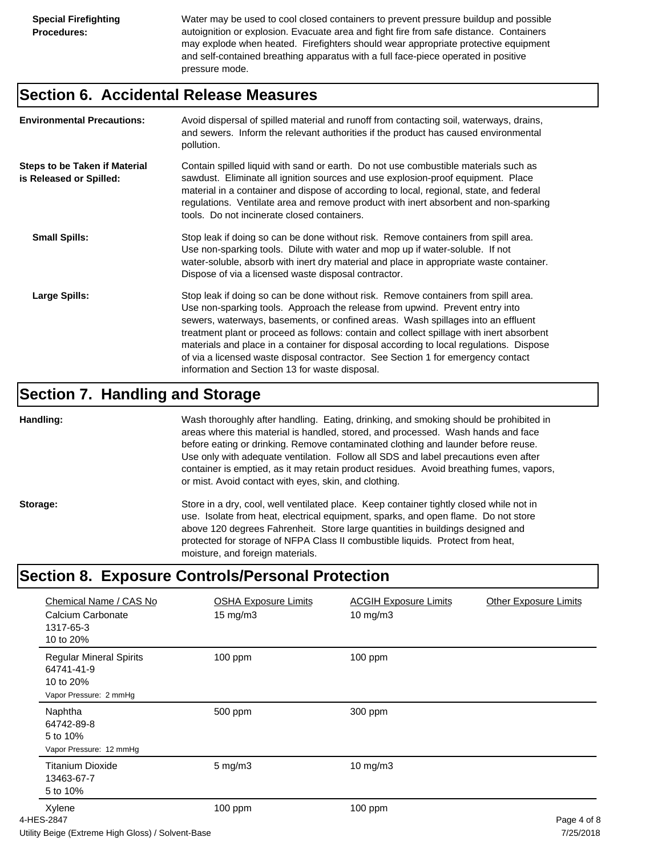Water may be used to cool closed containers to prevent pressure buildup and possible autoignition or explosion. Evacuate area and fight fire from safe distance. Containers may explode when heated. Firefighters should wear appropriate protective equipment and self-contained breathing apparatus with a full face-piece operated in positive pressure mode.

#### **Section 6. Accidental Release Measures**

| <b>Environmental Precautions:</b>                               | Avoid dispersal of spilled material and runoff from contacting soil, waterways, drains,<br>and sewers. Inform the relevant authorities if the product has caused environmental<br>pollution.                                                                                                                                                                                                                                                                                                                                                                                        |
|-----------------------------------------------------------------|-------------------------------------------------------------------------------------------------------------------------------------------------------------------------------------------------------------------------------------------------------------------------------------------------------------------------------------------------------------------------------------------------------------------------------------------------------------------------------------------------------------------------------------------------------------------------------------|
| <b>Steps to be Taken if Material</b><br>is Released or Spilled: | Contain spilled liquid with sand or earth. Do not use combustible materials such as<br>sawdust. Eliminate all ignition sources and use explosion-proof equipment. Place<br>material in a container and dispose of according to local, regional, state, and federal<br>regulations. Ventilate area and remove product with inert absorbent and non-sparking<br>tools. Do not incinerate closed containers.                                                                                                                                                                           |
| <b>Small Spills:</b>                                            | Stop leak if doing so can be done without risk. Remove containers from spill area.<br>Use non-sparking tools. Dilute with water and mop up if water-soluble. If not<br>water-soluble, absorb with inert dry material and place in appropriate waste container.<br>Dispose of via a licensed waste disposal contractor.                                                                                                                                                                                                                                                              |
| Large Spills:                                                   | Stop leak if doing so can be done without risk. Remove containers from spill area.<br>Use non-sparking tools. Approach the release from upwind. Prevent entry into<br>sewers, waterways, basements, or confined areas. Wash spillages into an effluent<br>treatment plant or proceed as follows: contain and collect spillage with inert absorbent<br>materials and place in a container for disposal according to local regulations. Dispose<br>of via a licensed waste disposal contractor. See Section 1 for emergency contact<br>information and Section 13 for waste disposal. |

#### **Section 7. Handling and Storage**

**Handling:** Wash thoroughly after handling. Eating, drinking, and smoking should be prohibited in areas where this material is handled, stored, and processed. Wash hands and face before eating or drinking. Remove contaminated clothing and launder before reuse. Use only with adequate ventilation. Follow all SDS and label precautions even after container is emptied, as it may retain product residues. Avoid breathing fumes, vapors, or mist. Avoid contact with eyes, skin, and clothing.

Storage: Store in a dry, cool, well ventilated place. Keep container tightly closed while not in use. Isolate from heat, electrical equipment, sparks, and open flame. Do not store above 120 degrees Fahrenheit. Store large quantities in buildings designed and protected for storage of NFPA Class II combustible liquids. Protect from heat, moisture, and foreign materials.

## **Section 8. Exposure Controls/Personal Protection**

| Chemical Name / CAS No<br>Calcium Carbonate<br>1317-65-3<br>10 to 20%                                                                                      | <b>OSHA Exposure Limits</b><br>$15 \text{ mg/m}$ | <b>ACGIH Exposure Limits</b><br>10 mg/m3 | <b>Other Exposure Limits</b>                                      |
|------------------------------------------------------------------------------------------------------------------------------------------------------------|--------------------------------------------------|------------------------------------------|-------------------------------------------------------------------|
| <b>Regular Mineral Spirits</b><br>64741-41-9<br>10 to 20%<br>Vapor Pressure: 2 mmHg                                                                        | 100 ppm                                          | 100 ppm                                  |                                                                   |
| Naphtha<br>64742-89-8<br>5 to 10%<br>Vapor Pressure: 12 mmHg                                                                                               | 500 ppm                                          | 300 ppm                                  |                                                                   |
| <b>Titanium Dioxide</b><br>13463-67-7<br>5 to 10%                                                                                                          | $5$ mg/m $3$                                     | 10 mg/m3                                 |                                                                   |
| Xylene<br>4-HES-2847<br>$\mathbf{L}$ . The state of $\mathbf{L}$ , $\mathbf{L}$ , $\mathbf{L}$ , $\mathbf{L}$ , $\mathbf{L}$ , $\mathbf{L}$ , $\mathbf{L}$ | 100 ppm                                          | $100$ ppm                                | Page 4 of 8<br>$\overline{z}$ in $\overline{z}$ in $\overline{z}$ |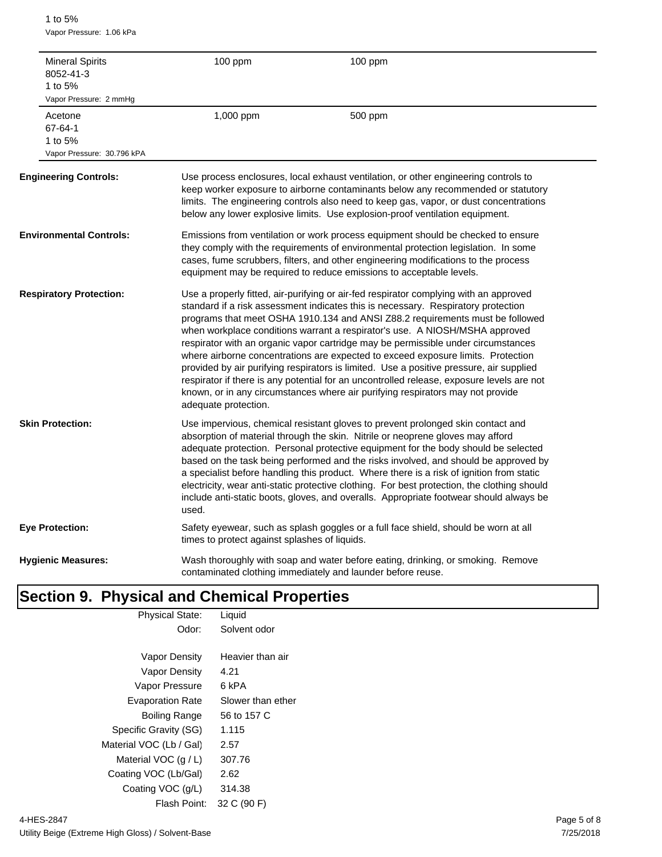1 to 5% Vapor Pressure: 1.06 kPa

| 1 to $5%$                     | <b>Mineral Spirits</b><br>8052-41-3<br>Vapor Pressure: 2 mmHq | 100 ppm                                       | 100 ppm                                                                                                                                                                                                                                                                                                                                                                                                                                                                                                                                                                                                                                                                                                                                                                                       |
|-------------------------------|---------------------------------------------------------------|-----------------------------------------------|-----------------------------------------------------------------------------------------------------------------------------------------------------------------------------------------------------------------------------------------------------------------------------------------------------------------------------------------------------------------------------------------------------------------------------------------------------------------------------------------------------------------------------------------------------------------------------------------------------------------------------------------------------------------------------------------------------------------------------------------------------------------------------------------------|
| Acetone<br>67-64-1<br>1 to 5% | Vapor Pressure: 30.796 kPA                                    | 1,000 ppm                                     | 500 ppm                                                                                                                                                                                                                                                                                                                                                                                                                                                                                                                                                                                                                                                                                                                                                                                       |
|                               | <b>Engineering Controls:</b>                                  |                                               | Use process enclosures, local exhaust ventilation, or other engineering controls to<br>keep worker exposure to airborne contaminants below any recommended or statutory<br>limits. The engineering controls also need to keep gas, vapor, or dust concentrations<br>below any lower explosive limits. Use explosion-proof ventilation equipment.                                                                                                                                                                                                                                                                                                                                                                                                                                              |
|                               | <b>Environmental Controls:</b>                                |                                               | Emissions from ventilation or work process equipment should be checked to ensure<br>they comply with the requirements of environmental protection legislation. In some<br>cases, fume scrubbers, filters, and other engineering modifications to the process<br>equipment may be required to reduce emissions to acceptable levels.                                                                                                                                                                                                                                                                                                                                                                                                                                                           |
|                               | <b>Respiratory Protection:</b>                                | adequate protection.                          | Use a properly fitted, air-purifying or air-fed respirator complying with an approved<br>standard if a risk assessment indicates this is necessary. Respiratory protection<br>programs that meet OSHA 1910.134 and ANSI Z88.2 requirements must be followed<br>when workplace conditions warrant a respirator's use. A NIOSH/MSHA approved<br>respirator with an organic vapor cartridge may be permissible under circumstances<br>where airborne concentrations are expected to exceed exposure limits. Protection<br>provided by air purifying respirators is limited. Use a positive pressure, air supplied<br>respirator if there is any potential for an uncontrolled release, exposure levels are not<br>known, or in any circumstances where air purifying respirators may not provide |
| <b>Skin Protection:</b>       |                                                               | used.                                         | Use impervious, chemical resistant gloves to prevent prolonged skin contact and<br>absorption of material through the skin. Nitrile or neoprene gloves may afford<br>adequate protection. Personal protective equipment for the body should be selected<br>based on the task being performed and the risks involved, and should be approved by<br>a specialist before handling this product. Where there is a risk of ignition from static<br>electricity, wear anti-static protective clothing. For best protection, the clothing should<br>include anti-static boots, gloves, and overalls. Appropriate footwear should always be                                                                                                                                                           |
| <b>Eye Protection:</b>        |                                                               | times to protect against splashes of liquids. | Safety eyewear, such as splash goggles or a full face shield, should be worn at all                                                                                                                                                                                                                                                                                                                                                                                                                                                                                                                                                                                                                                                                                                           |
|                               | <b>Hygienic Measures:</b>                                     |                                               | Wash thoroughly with soap and water before eating, drinking, or smoking. Remove<br>contaminated clothing immediately and launder before reuse.                                                                                                                                                                                                                                                                                                                                                                                                                                                                                                                                                                                                                                                |

## **Section 9. Physical and Chemical Properties**

| <b>Physical State:</b>  | Liquid            |
|-------------------------|-------------------|
| Odor:                   | Solvent odor      |
|                         |                   |
| <b>Vapor Density</b>    | Heavier than air  |
| <b>Vapor Density</b>    | 4.21              |
| Vapor Pressure          | 6 kPA             |
| <b>Evaporation Rate</b> | Slower than ether |
| Boiling Range           | 56 to 157 C       |
| Specific Gravity (SG)   | 1.115             |
| Material VOC (Lb / Gal) | 2.57              |
| Material VOC $(q/L)$    | 307.76            |
| Coating VOC (Lb/Gal)    | 2.62              |
| Coating VOC (g/L)       | 314.38            |
| Flash Point:            | 32 C (90 F)       |
|                         |                   |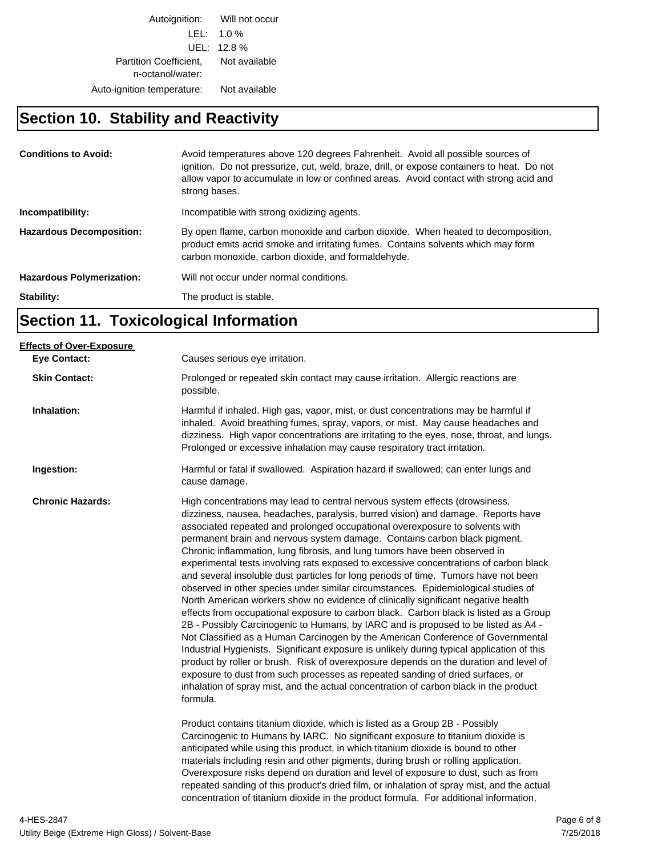Autoignition: Will not occur LEL: 1.0 % UEL: 12.8 % Partition Coefficient, Not available n-octanol/water: Auto-ignition temperature: Not available

#### **Section 10. Stability and Reactivity**

| <b>Conditions to Avoid:</b>      | Avoid temperatures above 120 degrees Fahrenheit. Avoid all possible sources of<br>ignition. Do not pressurize, cut, weld, braze, drill, or expose containers to heat. Do not<br>allow vapor to accumulate in low or confined areas. Avoid contact with strong acid and<br>strong bases. |
|----------------------------------|-----------------------------------------------------------------------------------------------------------------------------------------------------------------------------------------------------------------------------------------------------------------------------------------|
| Incompatibility:                 | Incompatible with strong oxidizing agents.                                                                                                                                                                                                                                              |
| <b>Hazardous Decomposition:</b>  | By open flame, carbon monoxide and carbon dioxide. When heated to decomposition,<br>product emits acrid smoke and irritating fumes. Contains solvents which may form<br>carbon monoxide, carbon dioxide, and formaldehyde.                                                              |
| <b>Hazardous Polymerization:</b> | Will not occur under normal conditions.                                                                                                                                                                                                                                                 |
| Stability:                       | The product is stable.                                                                                                                                                                                                                                                                  |

## **Section 11. Toxicological Information**

| <b>Effects of Over-Exposure</b> |                                                                                                                                                                                                                                                                                                                                                                                                                                                                                                                                                                                                                                                                                                                                                                                                                                                                                                                                                                                                                                                                                                                                                                                                                                                                                                                                                                                                                                                                                                                                                                                                                                                                                                                                                                                                                                                       |
|---------------------------------|-------------------------------------------------------------------------------------------------------------------------------------------------------------------------------------------------------------------------------------------------------------------------------------------------------------------------------------------------------------------------------------------------------------------------------------------------------------------------------------------------------------------------------------------------------------------------------------------------------------------------------------------------------------------------------------------------------------------------------------------------------------------------------------------------------------------------------------------------------------------------------------------------------------------------------------------------------------------------------------------------------------------------------------------------------------------------------------------------------------------------------------------------------------------------------------------------------------------------------------------------------------------------------------------------------------------------------------------------------------------------------------------------------------------------------------------------------------------------------------------------------------------------------------------------------------------------------------------------------------------------------------------------------------------------------------------------------------------------------------------------------------------------------------------------------------------------------------------------------|
| <b>Eye Contact:</b>             | Causes serious eye irritation.                                                                                                                                                                                                                                                                                                                                                                                                                                                                                                                                                                                                                                                                                                                                                                                                                                                                                                                                                                                                                                                                                                                                                                                                                                                                                                                                                                                                                                                                                                                                                                                                                                                                                                                                                                                                                        |
| <b>Skin Contact:</b>            | Prolonged or repeated skin contact may cause irritation. Allergic reactions are<br>possible.                                                                                                                                                                                                                                                                                                                                                                                                                                                                                                                                                                                                                                                                                                                                                                                                                                                                                                                                                                                                                                                                                                                                                                                                                                                                                                                                                                                                                                                                                                                                                                                                                                                                                                                                                          |
| Inhalation:                     | Harmful if inhaled. High gas, vapor, mist, or dust concentrations may be harmful if<br>inhaled. Avoid breathing fumes, spray, vapors, or mist. May cause headaches and<br>dizziness. High vapor concentrations are irritating to the eyes, nose, throat, and lungs.<br>Prolonged or excessive inhalation may cause respiratory tract irritation.                                                                                                                                                                                                                                                                                                                                                                                                                                                                                                                                                                                                                                                                                                                                                                                                                                                                                                                                                                                                                                                                                                                                                                                                                                                                                                                                                                                                                                                                                                      |
| Ingestion:                      | Harmful or fatal if swallowed. Aspiration hazard if swallowed; can enter lungs and<br>cause damage.                                                                                                                                                                                                                                                                                                                                                                                                                                                                                                                                                                                                                                                                                                                                                                                                                                                                                                                                                                                                                                                                                                                                                                                                                                                                                                                                                                                                                                                                                                                                                                                                                                                                                                                                                   |
| <b>Chronic Hazards:</b>         | High concentrations may lead to central nervous system effects (drowsiness,<br>dizziness, nausea, headaches, paralysis, burred vision) and damage. Reports have<br>associated repeated and prolonged occupational overexposure to solvents with<br>permanent brain and nervous system damage. Contains carbon black pigment.<br>Chronic inflammation, lung fibrosis, and lung tumors have been observed in<br>experimental tests involving rats exposed to excessive concentrations of carbon black<br>and several insoluble dust particles for long periods of time. Tumors have not been<br>observed in other species under similar circumstances. Epidemiological studies of<br>North American workers show no evidence of clinically significant negative health<br>effects from occupational exposure to carbon black. Carbon black is listed as a Group<br>2B - Possibly Carcinogenic to Humans, by IARC and is proposed to be listed as A4 -<br>Not Classified as a Human Carcinogen by the American Conference of Governmental<br>Industrial Hygienists. Significant exposure is unlikely during typical application of this<br>product by roller or brush. Risk of overexposure depends on the duration and level of<br>exposure to dust from such processes as repeated sanding of dried surfaces, or<br>inhalation of spray mist, and the actual concentration of carbon black in the product<br>formula.<br>Product contains titanium dioxide, which is listed as a Group 2B - Possibly<br>Carcinogenic to Humans by IARC. No significant exposure to titanium dioxide is<br>anticipated while using this product, in which titanium dioxide is bound to other<br>materials including resin and other pigments, during brush or rolling application.<br>Overexposure risks depend on duration and level of exposure to dust, such as from |
|                                 | repeated sanding of this product's dried film, or inhalation of spray mist, and the actual<br>concentration of titanium dioxide in the product formula. For additional information,                                                                                                                                                                                                                                                                                                                                                                                                                                                                                                                                                                                                                                                                                                                                                                                                                                                                                                                                                                                                                                                                                                                                                                                                                                                                                                                                                                                                                                                                                                                                                                                                                                                                   |
|                                 |                                                                                                                                                                                                                                                                                                                                                                                                                                                                                                                                                                                                                                                                                                                                                                                                                                                                                                                                                                                                                                                                                                                                                                                                                                                                                                                                                                                                                                                                                                                                                                                                                                                                                                                                                                                                                                                       |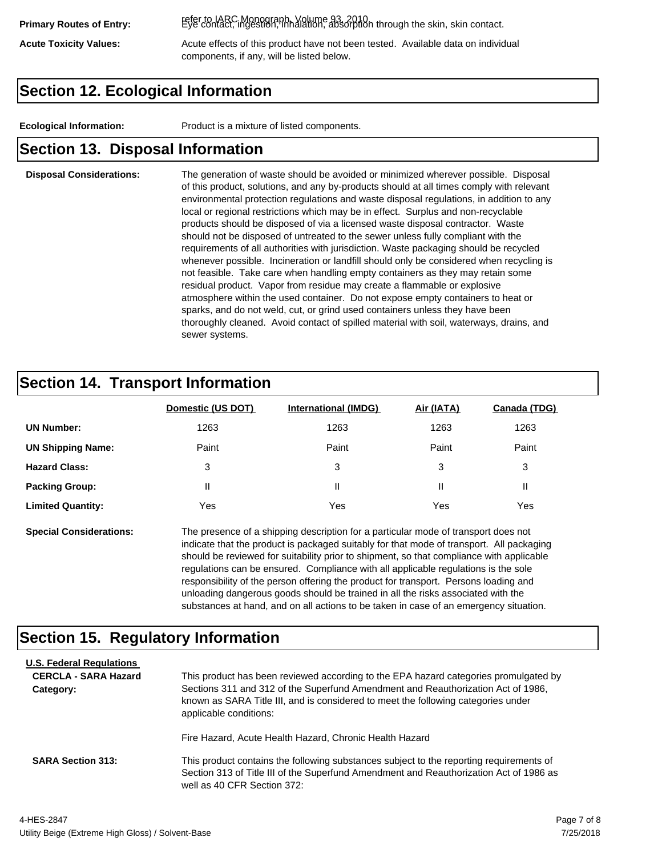refer to IARC Monograph, Volume 93, 2010. **Primary Routes of Entry:** Eye contact, ingestion, inhalation, absorption through the skin, skin contact.

Acute Toxicity Values: **Acute effects of this product have not been tested.** Available data on individual components, if any, will be listed below.

## **Section 12. Ecological Information**

**Ecological Information:** Product is a mixture of listed components.

#### **Section 13. Disposal Information**

#### **Disposal Considerations:** The generation of waste should be avoided or minimized wherever possible. Disposal of this product, solutions, and any by-products should at all times comply with relevant environmental protection regulations and waste disposal regulations, in addition to any local or regional restrictions which may be in effect. Surplus and non-recyclable products should be disposed of via a licensed waste disposal contractor. Waste should not be disposed of untreated to the sewer unless fully compliant with the requirements of all authorities with jurisdiction. Waste packaging should be recycled whenever possible. Incineration or landfill should only be considered when recycling is not feasible. Take care when handling empty containers as they may retain some residual product. Vapor from residue may create a flammable or explosive atmosphere within the used container. Do not expose empty containers to heat or sparks, and do not weld, cut, or grind used containers unless they have been thoroughly cleaned. Avoid contact of spilled material with soil, waterways, drains, and sewer systems.

#### **Section 14. Transport Information**

|                          | Domestic (US DOT) | <b>International (IMDG)</b> | Air (IATA) | Canada (TDG) |
|--------------------------|-------------------|-----------------------------|------------|--------------|
| <b>UN Number:</b>        | 1263              | 1263                        | 1263       | 1263         |
| <b>UN Shipping Name:</b> | Paint             | Paint                       | Paint      | Paint        |
| <b>Hazard Class:</b>     | 3                 | 3                           | 3          | 3            |
| <b>Packing Group:</b>    | Ш                 | Ш                           |            |              |
| <b>Limited Quantity:</b> | Yes               | Yes                         | Yes        | Yes          |

**Special Considerations:** The presence of a shipping description for a particular mode of transport does not indicate that the product is packaged suitably for that mode of transport. All packaging should be reviewed for suitability prior to shipment, so that compliance with applicable regulations can be ensured. Compliance with all applicable regulations is the sole responsibility of the person offering the product for transport. Persons loading and unloading dangerous goods should be trained in all the risks associated with the substances at hand, and on all actions to be taken in case of an emergency situation.

#### **Section 15. Regulatory Information**

| <b>U.S. Federal Regulations</b><br><b>CERCLA - SARA Hazard</b><br>Category: | This product has been reviewed according to the EPA hazard categories promulgated by<br>Sections 311 and 312 of the Superfund Amendment and Reauthorization Act of 1986,<br>known as SARA Title III, and is considered to meet the following categories under<br>applicable conditions: |
|-----------------------------------------------------------------------------|-----------------------------------------------------------------------------------------------------------------------------------------------------------------------------------------------------------------------------------------------------------------------------------------|
| <b>SARA Section 313:</b>                                                    | Fire Hazard, Acute Health Hazard, Chronic Health Hazard<br>This product contains the following substances subject to the reporting requirements of<br>Section 313 of Title III of the Superfund Amendment and Reauthorization Act of 1986 as<br>well as 40 CFR Section 372:             |